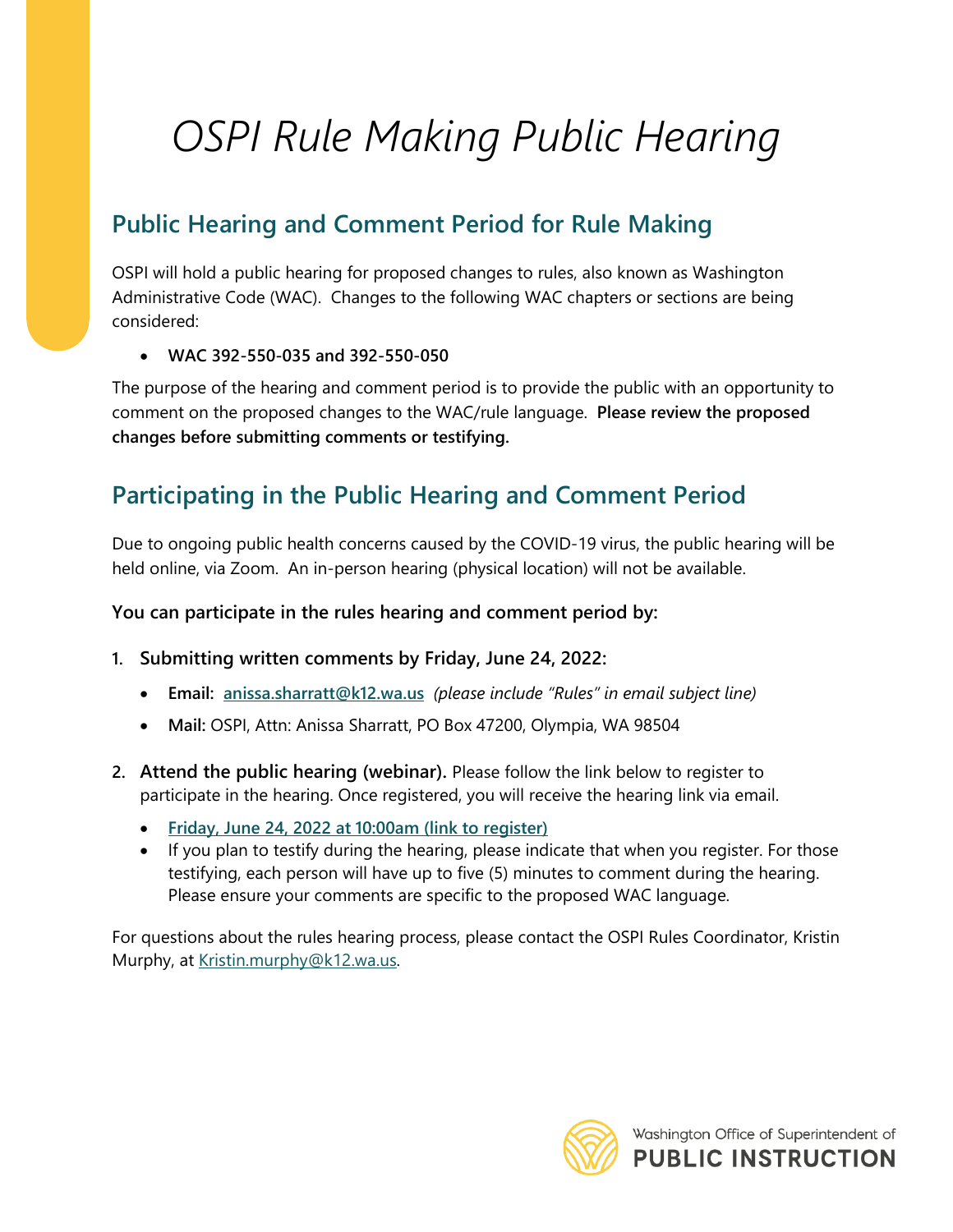# *OSPI Rule Making Public Hearing*

## **Public Hearing and Comment Period for Rule Making**

OSPI will hold a public hearing for proposed changes to rules, also known as Washington Administrative Code (WAC). Changes to the following WAC chapters or sections are being considered:

#### • **WAC 392-550-035 and 392-550-050**

The purpose of the hearing and comment period is to provide the public with an opportunity to comment on the proposed changes to the WAC/rule language. **Please review the proposed changes before submitting comments or testifying.**

### **Participating in the Public Hearing and Comment Period**

Due to ongoing public health concerns caused by the COVID-19 virus, the public hearing will be held online, via Zoom. An in-person hearing (physical location) will not be available.

#### **You can participate in the rules hearing and comment period by:**

- **1. Submitting written comments by Friday, June 24, 2022:**
	- **Email: [anissa.sharratt@k12.wa.us](file://srv-file03/public%20disclosure/Rules%20Coordinator/Rule%20Making/Hearings/anissa.sharratt@k12.wa.us)** *(please include "Rules" in email subject line)*
	- **Mail:** OSPI, Attn: Anissa Sharratt, PO Box 47200, Olympia, WA 98504
- **2. Attend the public hearing (webinar).** Please follow the link below to register to participate in the hearing. Once registered, you will receive the hearing link via email.
	- **[Friday, June 24, 2022 at 10:00am \(link to register\)](https://us02web.zoom.us/meeting/register/tZYtd-isqzopE92xCASOWq0cQN2cKMjogw6Z)**
	- If you plan to testify during the hearing, please indicate that when you register. For those testifying, each person will have up to five (5) minutes to comment during the hearing. Please ensure your comments are specific to the proposed WAC language.

For questions about the rules hearing process, please contact the OSPI Rules Coordinator, Kristin Murphy, at [Kristin.murphy@k12.wa.us.](mailto:Kristin.murphy@k12.wa.us)

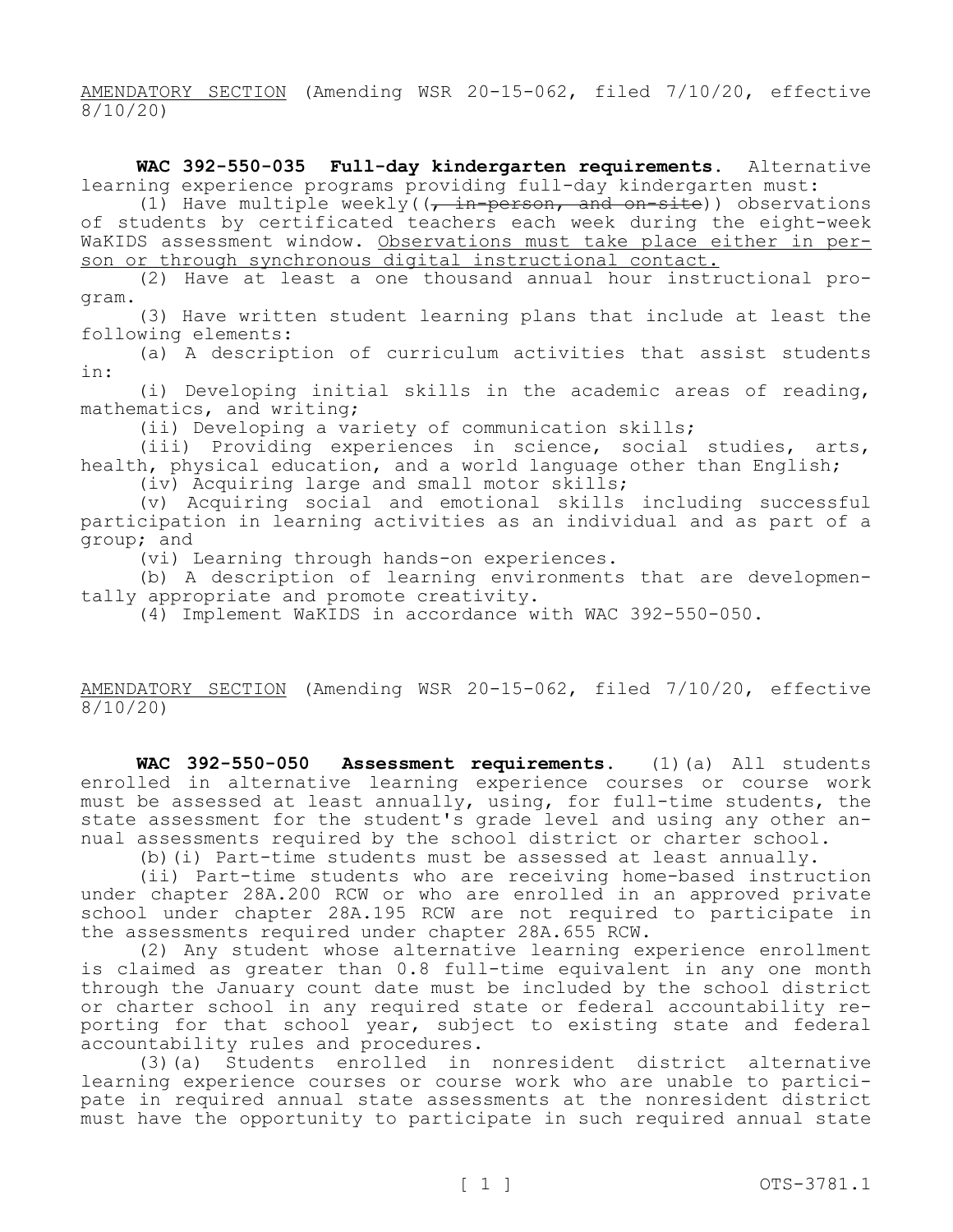AMENDATORY SECTION (Amending WSR 20-15-062, filed 7/10/20, effective 8/10/20)

**WAC 392-550-035 Full-day kindergarten requirements.** Alternative learning experience programs providing full-day kindergarten must:

(1) Have multiple weekly( $\frac{1}{r}$  in-person, and on-site)) observations of students by certificated teachers each week during the eight-week WaKIDS assessment window. Observations must take place either in person or through synchronous digital instructional contact.

(2) Have at least a one thousand annual hour instructional program.

(3) Have written student learning plans that include at least the following elements:

(a) A description of curriculum activities that assist students in:

(i) Developing initial skills in the academic areas of reading, mathematics, and writing;

(ii) Developing a variety of communication skills;

(iii) Providing experiences in science, social studies, arts, health, physical education, and a world language other than English;

(iv) Acquiring large and small motor skills;

(v) Acquiring social and emotional skills including successful participation in learning activities as an individual and as part of a group; and

(vi) Learning through hands-on experiences.

(b) A description of learning environments that are developmentally appropriate and promote creativity.

(4) Implement WaKIDS in accordance with WAC 392-550-050.

AMENDATORY SECTION (Amending WSR 20-15-062, filed 7/10/20, effective 8/10/20)

**WAC 392-550-050 Assessment requirements.** (1)(a) All students enrolled in alternative learning experience courses or course work must be assessed at least annually, using, for full-time students, the state assessment for the student's grade level and using any other annual assessments required by the school district or charter school.

(b)(i) Part-time students must be assessed at least annually.

(ii) Part-time students who are receiving home-based instruction under chapter 28A.200 RCW or who are enrolled in an approved private school under chapter 28A.195 RCW are not required to participate in the assessments required under chapter 28A.655 RCW.

(2) Any student whose alternative learning experience enrollment is claimed as greater than 0.8 full-time equivalent in any one month through the January count date must be included by the school district or charter school in any required state or federal accountability reporting for that school year, subject to existing state and federal accountability rules and procedures.

(3)(a) Students enrolled in nonresident district alternative learning experience courses or course work who are unable to participate in required annual state assessments at the nonresident district must have the opportunity to participate in such required annual state